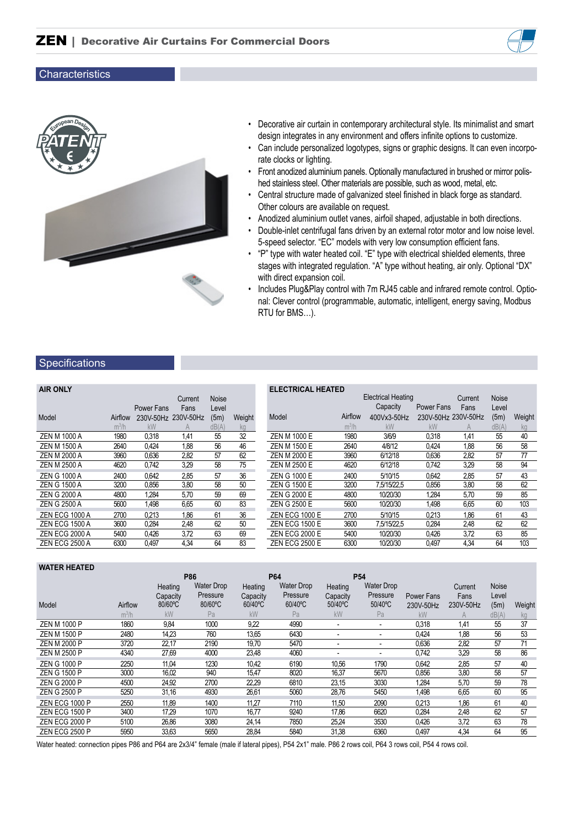



- Decorative air curtain in contemporary architectural style. Its minimalist and smart design integrates in any environment and offers infinite options to customize.
- Can include personalized logotypes, signs or graphic designs. It can even incorporate clocks or lighting.
- Front anodized aluminium panels. Optionally manufactured in brushed or mirror polished stainless steel. Other materials are possible, such as wood, metal, etc.
- Central structure made of galvanized steel finished in black forge as standard. Other colours are available on request.
- Anodized aluminium outlet vanes, airfoil shaped, adjustable in both directions.
- Double-inlet centrifugal fans driven by an external rotor motor and low noise level. 5-speed selector. "EC" models with very low consumption efficient fans.
- "P" type with water heated coil. "E" type with electrical shielded elements, three stages with integrated regulation. "A" type without heating, air only. Optional "DX" with direct expansion coil.
- Includes Plug&Play control with 7m RJ45 cable and infrared remote control. Optional: Clever control (programmable, automatic, intelligent, energy saving, Modbus RTU for BMS…).

#### **Specifications**

| <b>AIR ONLY</b>       |         |            |                     |              |        | <b>ELECTRICAL HEATED</b> |  |
|-----------------------|---------|------------|---------------------|--------------|--------|--------------------------|--|
|                       |         |            | Current             | <b>Noise</b> |        |                          |  |
|                       |         | Power Fans | Fans                | Level        |        |                          |  |
| Model                 | Airflow |            | 230V-50Hz 230V-50Hz | (5m)         | Weight | Model                    |  |
|                       | $m^3/h$ | <b>kW</b>  |                     | dB(A)        | kg     |                          |  |
| <b>ZEN M 1000 A</b>   | 1980    | 0.318      | 1,41                | 55           | 32     | <b>ZEN M 1000 E</b>      |  |
| <b>ZEN M 1500 A</b>   | 2640    | 0.424      | 1,88                | 56           | 46     | <b>ZEN M 1500 E</b>      |  |
| <b>ZEN M 2000 A</b>   | 3960    | 0.636      | 2,82                | 57           | 62     | ZEN M 2000 E             |  |
| <b>ZEN M 2500 A</b>   | 4620    | 0,742      | 3,29                | 58           | 75     | <b>ZEN M 2500 E</b>      |  |
| <b>ZEN G 1000 A</b>   | 2400    | 0.642      | 2.85                | 57           | 36     | ZEN G 1000 E             |  |
| <b>ZEN G 1500 A</b>   | 3200    | 0,856      | 3,80                | 58           | 50     | <b>ZEN G 1500 E</b>      |  |
| <b>ZEN G 2000 A</b>   | 4800    | 1.284      | 5,70                | 59           | 69     | ZEN G 2000 E             |  |
| <b>ZEN G 2500 A</b>   | 5600    | 1,498      | 6,65                | 60           | 83     | <b>ZEN G 2500 E</b>      |  |
| <b>ZEN ECG 1000 A</b> | 2700    | 0.213      | 1.86                | 61           | 36     | <b>ZEN ECG 1000 E</b>    |  |
| <b>ZEN ECG 1500 A</b> | 3600    | 0,284      | 2,48                | 62           | 50     | <b>ZEN ECG 1500 E</b>    |  |
| ZEN ECG 2000 A        | 5400    | 0,426      | 3,72                | 63           | 69     | <b>ZEN ECG 2000 E</b>    |  |
| <b>ZEN ECG 2500 A</b> | 6300    | 0.497      | 4.34                | 64           | 83     | <b>ZEN ECG 2500 E</b>    |  |

| LLLV I INVAL I ILAI LV |         | <b>Electrical Heating</b> |                     | Current        | <b>Noise</b> |        |
|------------------------|---------|---------------------------|---------------------|----------------|--------------|--------|
|                        |         | Capacity                  | Power Fans          | Fans           | Level        |        |
| Model                  | Airflow | 400Vx3-50Hz               | 230V-50Hz 230V-50Hz |                | (5m)         | Weight |
|                        | $m^3/h$ | kW                        | kW                  | $\overline{A}$ | dB(A)        | kg     |
| ZEN M 1000 E           | 1980    | 3/6/9                     | 0.318               | 1,41           | 55           | 40     |
| <b>ZEN M 1500 E</b>    | 2640    | 4/8/12                    | 0.424               | 1.88           | 56           | 58     |
| ZEN M 2000 E           | 3960    | 6/12/18                   | 0.636               | 2,82           | 57           | 77     |
| <b>ZEN M 2500 E</b>    | 4620    | 6/12/18                   | 0,742               | 3,29           | 58           | 94     |
| ZEN G 1000 E           | 2400    | 5/10/15                   | 0.642               | 2.85           | 57           | 43     |
| <b>ZEN G 1500 E</b>    | 3200    | 7.5/15/22.5               | 0.856               | 3,80           | 58           | 62     |
| ZEN G 2000 E           | 4800    | 10/20/30                  | 1.284               | 5.70           | 59           | 85     |
| ZEN G 2500 E           | 5600    | 10/20/30                  | 1,498               | 6,65           | 60           | 103    |
| <b>ZEN ECG 1000 E</b>  | 2700    | 5/10/15                   | 0.213               | 1.86           | 61           | 43     |
| <b>ZEN ECG 1500 E</b>  | 3600    | 7.5/15/22.5               | 0.284               | 2,48           | 62           | 62     |
| <b>ZEN ECG 2000 E</b>  | 5400    | 10/20/30                  | 0.426               | 3,72           | 63           | 85     |
| <b>ZEN ECG 2500 E</b>  | 6300    | 10/20/30                  | 0.497               | 4.34           | 64           | 103    |

| <b>WATER HEATED</b>   |         |          |                                 |          |                          |                          |                                 |                   |           |       |        |
|-----------------------|---------|----------|---------------------------------|----------|--------------------------|--------------------------|---------------------------------|-------------------|-----------|-------|--------|
|                       |         | Heating  | <b>P86</b><br><b>Water Drop</b> | Heating  | P64<br><b>Water Drop</b> | Heating                  | <b>P54</b><br><b>Water Drop</b> |                   | Current   | Noise |        |
|                       |         | Capacity | Pressure                        | Capacity | Pressure                 | Capacity                 | Pressure                        | <b>Power Fans</b> | Fans      | Level |        |
| Model                 | Airflow | 80/60°C  | 80/60°C                         | 60/40°C  | 60/40°C                  | 50/40°C                  | 50/40°C                         | 230V-50Hz         | 230V-50Hz | (5m)  | Weight |
|                       | $m^3/h$ | kW       | Pa                              | kW       | Pa                       | kW                       | Pa                              | kW                | A         | dB(A) | kg     |
| <b>ZEN M 1000 P</b>   | 1860    | 9,84     | 1000                            | 9,22     | 4990                     | $\blacksquare$           | $\blacksquare$                  | 0.318             | 1.41      | 55    | 37     |
| <b>ZEN M 1500 P</b>   | 2480    | 14,23    | 760                             | 13,65    | 6430                     |                          |                                 | 0.424             | 1,88      | 56    | 53     |
| <b>ZEN M 2000 P</b>   | 3720    | 22,17    | 2190                            | 19,70    | 5470                     | $\overline{\phantom{a}}$ | $\blacksquare$                  | 0,636             | 2,82      | 57    | 71     |
| <b>ZEN M 2500 P</b>   | 4340    | 27,69    | 4000                            | 23,48    | 4060                     | $\overline{\phantom{a}}$ | $\blacksquare$                  | 0,742             | 3,29      | 58    | 86     |
| <b>ZEN G 1000 P</b>   | 2250    | 11.04    | 1230                            | 10,42    | 6190                     | 10,56                    | 1790                            | 0,642             | 2,85      | 57    | 40     |
| <b>ZEN G 1500 P</b>   | 3000    | 16,02    | 940                             | 15,47    | 8020                     | 16,37                    | 5670                            | 0,856             | 3,80      | 58    | 57     |
| <b>ZEN G 2000 P</b>   | 4500    | 24,92    | 2700                            | 22,29    | 6810                     | 23,15                    | 3030                            | 1,284             | 5,70      | 59    | 78     |
| <b>ZEN G 2500 P</b>   | 5250    | 31,16    | 4930                            | 26,61    | 5060                     | 28,76                    | 5450                            | 1,498             | 6,65      | 60    | 95     |
| <b>ZEN ECG 1000 P</b> | 2550    | 11.89    | 1400                            | 11,27    | 7110                     | 11,50                    | 2090                            | 0,213             | 1,86      | 61    | 40     |
| <b>ZEN ECG 1500 P</b> | 3400    | 17,29    | 1070                            | 16.77    | 9240                     | 17,86                    | 6620                            | 0.284             | 2,48      | 62    | 57     |
| <b>ZEN ECG 2000 P</b> | 5100    | 26,86    | 3080                            | 24,14    | 7850                     | 25,24                    | 3530                            | 0,426             | 3,72      | 63    | 78     |
| <b>ZEN ECG 2500 P</b> | 5950    | 33,63    | 5650                            | 28,84    | 5840                     | 31,38                    | 6360                            | 0,497             | 4,34      | 64    | 95     |

Water heated: connection pipes P86 and P64 are 2x3/4" female (male if lateral pipes), P54 2x1" male. P86 2 rows coil, P64 3 rows coil, P54 4 rows coil.